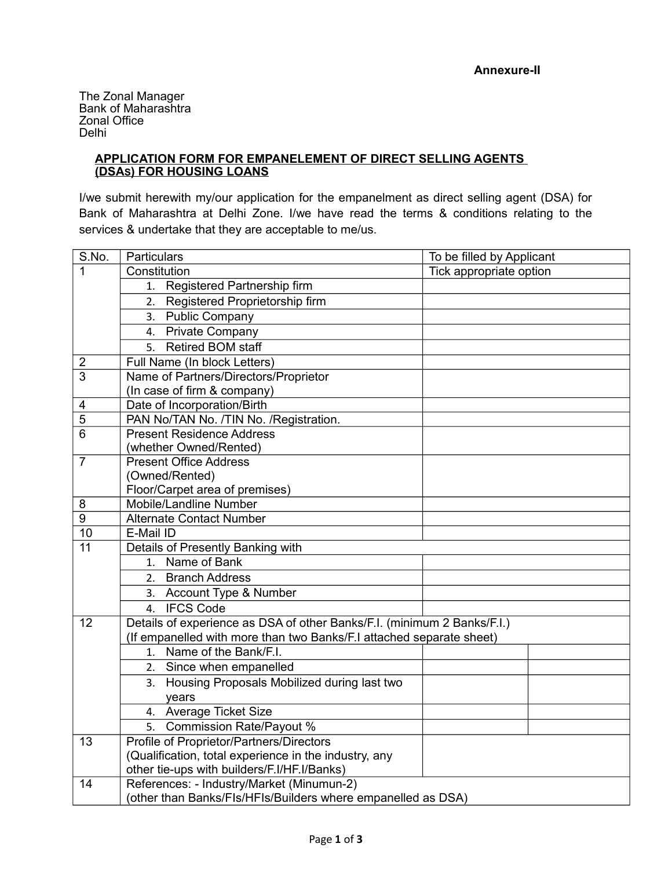The Zonal Manager Bank of Maharashtra Zonal Office Delhi

## **APPLICATION FORM FOR EMPANELEMENT OF DIRECT SELLING AGENTS (DSAS) FOR HOUSING LOANS**

I/we submit herewith my/our application for the empanelment as direct selling agent (DSA) for Bank of Maharashtra at Delhi Zone. I/we have read the terms & conditions relating to the services & undertake that they are acceptable to me/us.

| S.No.                   | Particulars                                                             | To be filled by Applicant |  |  |  |  |
|-------------------------|-------------------------------------------------------------------------|---------------------------|--|--|--|--|
| 1                       | Constitution                                                            | Tick appropriate option   |  |  |  |  |
|                         | 1. Registered Partnership firm                                          |                           |  |  |  |  |
|                         | 2. Registered Proprietorship firm                                       |                           |  |  |  |  |
|                         | 3. Public Company                                                       |                           |  |  |  |  |
|                         | 4. Private Company                                                      |                           |  |  |  |  |
|                         | 5. Retired BOM staff                                                    |                           |  |  |  |  |
| $\overline{2}$          | Full Name (In block Letters)                                            |                           |  |  |  |  |
| $\overline{3}$          | Name of Partners/Directors/Proprietor                                   |                           |  |  |  |  |
|                         | (In case of firm & company)                                             |                           |  |  |  |  |
| $\overline{\mathbf{4}}$ | Date of Incorporation/Birth                                             |                           |  |  |  |  |
| 5                       | PAN No/TAN No. /TIN No. /Registration.                                  |                           |  |  |  |  |
| 6                       | <b>Present Residence Address</b><br>(whether Owned/Rented)              |                           |  |  |  |  |
|                         |                                                                         |                           |  |  |  |  |
| $\overline{7}$          | <b>Present Office Address</b>                                           |                           |  |  |  |  |
|                         | (Owned/Rented)                                                          |                           |  |  |  |  |
|                         | Floor/Carpet area of premises)                                          |                           |  |  |  |  |
| 8                       | Mobile/Landline Number                                                  |                           |  |  |  |  |
| $\overline{9}$          | <b>Alternate Contact Number</b>                                         |                           |  |  |  |  |
| 10                      | E-Mail ID                                                               |                           |  |  |  |  |
| $\overline{11}$         | Details of Presently Banking with                                       |                           |  |  |  |  |
|                         | 1. Name of Bank                                                         |                           |  |  |  |  |
|                         | 2. Branch Address                                                       |                           |  |  |  |  |
|                         | 3. Account Type & Number                                                |                           |  |  |  |  |
|                         | 4. IFCS Code                                                            |                           |  |  |  |  |
| 12                      | Details of experience as DSA of other Banks/F.I. (minimum 2 Banks/F.I.) |                           |  |  |  |  |
|                         | (If empanelled with more than two Banks/F.I attached separate sheet)    |                           |  |  |  |  |
|                         | 1. Name of the Bank/F.I.                                                |                           |  |  |  |  |
|                         | 2. Since when empanelled                                                |                           |  |  |  |  |
|                         | 3. Housing Proposals Mobilized during last two                          |                           |  |  |  |  |
|                         | years                                                                   |                           |  |  |  |  |
|                         | 4. Average Ticket Size                                                  |                           |  |  |  |  |
|                         | 5. Commission Rate/Payout %                                             |                           |  |  |  |  |
| 13                      | Profile of Proprietor/Partners/Directors                                |                           |  |  |  |  |
|                         | (Qualification, total experience in the industry, any                   |                           |  |  |  |  |
|                         | other tie-ups with builders/F.I/HF.I/Banks)                             |                           |  |  |  |  |
| 14                      | References: - Industry/Market (Minumun-2)                               |                           |  |  |  |  |
|                         | (other than Banks/FIs/HFIs/Builders where empanelled as DSA)            |                           |  |  |  |  |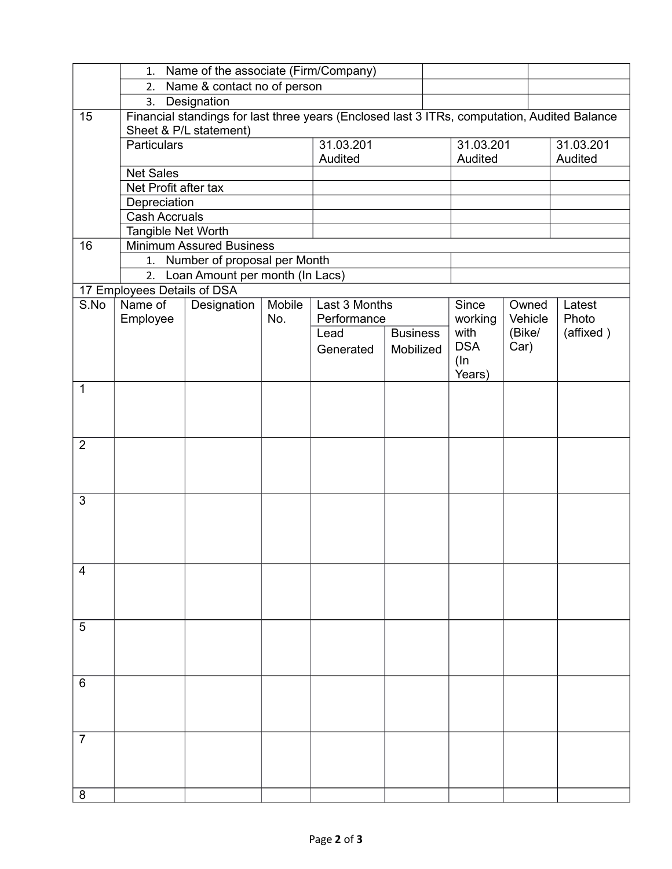|                | 1. Name of the associate (Firm/Company)                                                      |                      |         |               |                 |                 |                  |                              |
|----------------|----------------------------------------------------------------------------------------------|----------------------|---------|---------------|-----------------|-----------------|------------------|------------------------------|
|                | 2. Name & contact no of person                                                               |                      |         |               |                 |                 |                  |                              |
|                |                                                                                              | 3. Designation       |         |               |                 |                 |                  |                              |
| 15             | Financial standings for last three years (Enclosed last 3 ITRs, computation, Audited Balance |                      |         |               |                 |                 |                  |                              |
|                | Sheet & P/L statement)                                                                       |                      |         |               |                 |                 |                  |                              |
|                | <b>Particulars</b>                                                                           |                      |         | 31.03.201     |                 | 31.03.201       |                  | 31.03.201                    |
|                |                                                                                              |                      | Audited |               |                 | Audited         |                  | Audited                      |
|                | <b>Net Sales</b>                                                                             |                      |         |               |                 |                 |                  |                              |
|                |                                                                                              | Net Profit after tax |         |               |                 |                 |                  |                              |
|                | Depreciation                                                                                 |                      |         |               |                 |                 |                  |                              |
|                | <b>Cash Accruals</b>                                                                         |                      |         |               |                 |                 |                  |                              |
|                | Tangible Net Worth                                                                           |                      |         |               |                 |                 |                  |                              |
| 16             | <b>Minimum Assured Business</b>                                                              |                      |         |               |                 |                 |                  |                              |
|                | 1. Number of proposal per Month<br>Loan Amount per month (In Lacs)                           |                      |         |               |                 |                 |                  |                              |
|                | 2.                                                                                           |                      |         |               |                 |                 |                  |                              |
| S.No           | 17 Employees Details of DSA<br>Name of                                                       |                      | Mobile  | Last 3 Months |                 |                 |                  |                              |
|                | Employee                                                                                     | Designation          | No.     | Performance   |                 | Since           | Owned<br>Vehicle | Latest<br>Photo<br>(affixed) |
|                |                                                                                              |                      |         | Lead          | <b>Business</b> | working<br>with | (Bike/           |                              |
|                |                                                                                              |                      |         | Generated     | Mobilized       | <b>DSA</b>      | Car)             |                              |
|                |                                                                                              |                      |         |               |                 | $(\ln$          |                  |                              |
|                |                                                                                              |                      |         |               |                 | Years)          |                  |                              |
| 1              |                                                                                              |                      |         |               |                 |                 |                  |                              |
|                |                                                                                              |                      |         |               |                 |                 |                  |                              |
|                |                                                                                              |                      |         |               |                 |                 |                  |                              |
|                |                                                                                              |                      |         |               |                 |                 |                  |                              |
| 2              |                                                                                              |                      |         |               |                 |                 |                  |                              |
|                |                                                                                              |                      |         |               |                 |                 |                  |                              |
|                |                                                                                              |                      |         |               |                 |                 |                  |                              |
| 3              |                                                                                              |                      |         |               |                 |                 |                  |                              |
|                |                                                                                              |                      |         |               |                 |                 |                  |                              |
|                |                                                                                              |                      |         |               |                 |                 |                  |                              |
|                |                                                                                              |                      |         |               |                 |                 |                  |                              |
|                |                                                                                              |                      |         |               |                 |                 |                  |                              |
| $\overline{4}$ |                                                                                              |                      |         |               |                 |                 |                  |                              |
|                |                                                                                              |                      |         |               |                 |                 |                  |                              |
|                |                                                                                              |                      |         |               |                 |                 |                  |                              |
|                |                                                                                              |                      |         |               |                 |                 |                  |                              |
| 5              |                                                                                              |                      |         |               |                 |                 |                  |                              |
|                |                                                                                              |                      |         |               |                 |                 |                  |                              |
|                |                                                                                              |                      |         |               |                 |                 |                  |                              |
|                |                                                                                              |                      |         |               |                 |                 |                  |                              |
| 6              |                                                                                              |                      |         |               |                 |                 |                  |                              |
|                |                                                                                              |                      |         |               |                 |                 |                  |                              |
|                |                                                                                              |                      |         |               |                 |                 |                  |                              |
| $\overline{7}$ |                                                                                              |                      |         |               |                 |                 |                  |                              |
|                |                                                                                              |                      |         |               |                 |                 |                  |                              |
|                |                                                                                              |                      |         |               |                 |                 |                  |                              |
|                |                                                                                              |                      |         |               |                 |                 |                  |                              |
| 8              |                                                                                              |                      |         |               |                 |                 |                  |                              |